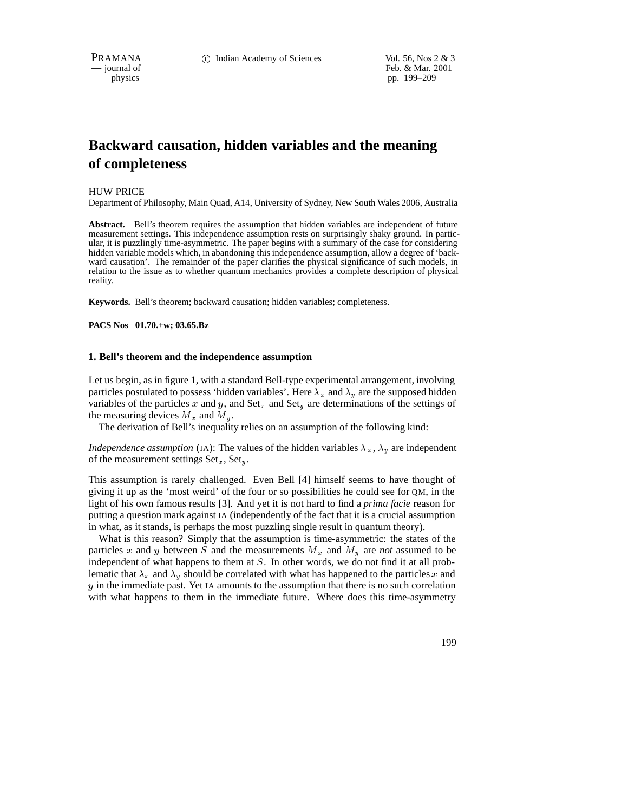PRAMANA 
<sup>c</sup> Indian Academy of Sciences Vol. 56, Nos 2 & 3<br>  $-$  journal of Feb. & Mar. 2001 Feb. & Mar. 2001 physics pp. 199–209

# **Backward causation, hidden variables and the meaning of completeness**

### HUW PRICE

Department of Philosophy, Main Quad, A14, University of Sydney, New South Wales 2006, Australia

**Abstract.** Bell's theorem requires the assumption that hidden variables are independent of future measurement settings. This independence assumption rests on surprisingly shaky ground. In particular, it is puzzlingly time-asymmetric. The paper begins with a summary of the case for considering hidden variable models which, in abandoning this independence assumption, allow a degree of 'backward causation'. The remainder of the paper clarifies the physical significance of such models, in relation to the issue as to whether quantum mechanics provides a complete description of physical reality.

**Keywords.** Bell's theorem; backward causation; hidden variables; completeness.

**PACS Nos 01.70.+w; 03.65.Bz**

#### **1. Bell's theorem and the independence assumption**

Let us begin, as in figure 1, with a standard Bell-type experimental arrangement, involving particles postulated to possess 'hidden variables'. Here  $\lambda_x$  and  $\lambda_y$  are the supposed hidden variables of the particles x and y, and  $Set_x$  and  $Set_y$  are determinations of the settings of the measuring devices  $M_x$  and  $M_y$ .

The derivation of Bell's inequality relies on an assumption of the following kind:

*Independence assumption* (IA): The values of the hidden variables  $\lambda_x$ ,  $\lambda_y$  are independent of the measurement settings  $Set_x$ ,  $Set_y$ .

This assumption is rarely challenged. Even Bell [4] himself seems to have thought of giving it up as the 'most weird' of the four or so possibilities he could see for QM, in the light of his own famous results [3]. And yet it is not hard to find a *prima facie* reason for putting a question mark against IA (independently of the fact that it is a crucial assumption in what, as it stands, is perhaps the most puzzling single result in quantum theory).

What is this reason? Simply that the assumption is time-asymmetric: the states of the particles x and y between S and the measurements  $M_x$  and  $M_y$  are *not* assumed to be independent of what happens to them at  $S$ . In other words, we do not find it at all problematic that  $\lambda_x$  and  $\lambda_y$  should be correlated with what has happened to the particles x and y in the immediate past. Yet IA amounts to the assumption that there is no such correlation with what happens to them in the immediate future. Where does this time-asymmetry

199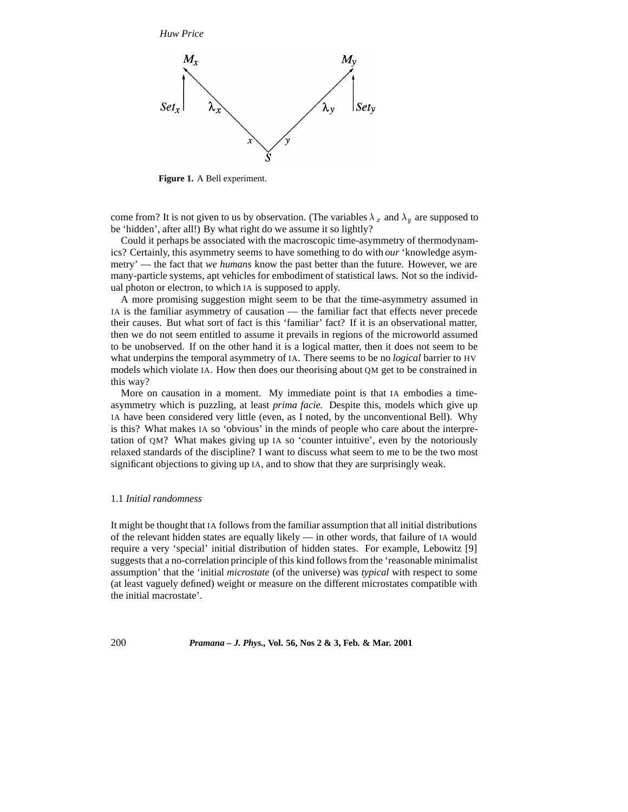

**Figure 1.** A Bell experiment.

come from? It is not given to us by observation. (The variables  $\lambda_x$  and  $\lambda_y$  are supposed to be 'hidden', after all!) By what right do we assume it so lightly?

Could it perhaps be associated with the macroscopic time-asymmetry of thermodynamics? Certainly, this asymmetry seems to have something to do with *our* 'knowledge asymmetry' — the fact that *we humans* know the past better than the future. However, we are many-particle systems, apt vehicles for embodiment of statistical laws. Not so the individual photon or electron, to which IA is supposed to apply.

A more promising suggestion might seem to be that the time-asymmetry assumed in IA is the familiar asymmetry of causation — the familiar fact that effects never precede their causes. But what sort of fact is this 'familiar' fact? If it is an observational matter, then we do not seem entitled to assume it prevails in regions of the microworld assumed to be unobserved. If on the other hand it is a logical matter, then it does not seem to be what underpins the temporal asymmetry of IA. There seems to be no *logical* barrier to HV models which violate IA. How then does our theorising about QM get to be constrained in this way?

More on causation in a moment. My immediate point is that IA embodies a timeasymmetry which is puzzling, at least *prima facie.* Despite this, models which give up IA have been considered very little (even, as I noted, by the unconventional Bell). Why is this? What makes IA so 'obvious' in the minds of people who care about the interpretation of QM? What makes giving up IA so 'counter intuitive', even by the notoriously relaxed standards of the discipline? I want to discuss what seem to me to be the two most significant objections to giving up IA, and to show that they are surprisingly weak.

## 1.1 *Initial randomness*

It might be thought that IA follows from the familiar assumption that all initial distributions of the relevant hidden states are equally likely — in other words, that failure of IA would require a very 'special' initial distribution of hidden states. For example, Lebowitz [9] suggests that a no-correlation principle of this kind follows from the 'reasonable minimalist assumption' that the 'initial *microstate* (of the universe) was *typical* with respect to some (at least vaguely defined) weight or measure on the different microstates compatible with the initial macrostate'.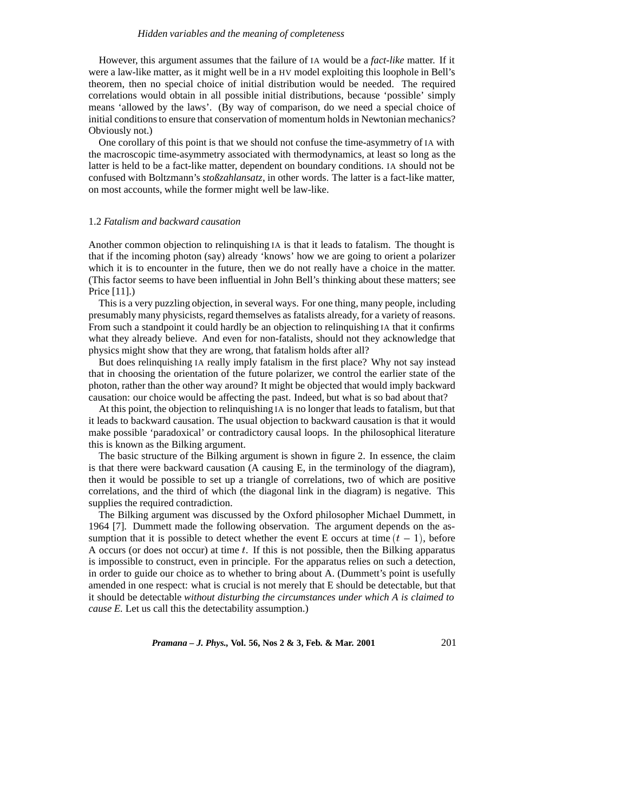#### *Hidden variables and the meaning of completeness*

However, this argument assumes that the failure of IA would be a *fact-like* matter. If it were a law-like matter, as it might well be in a HV model exploiting this loophole in Bell's theorem, then no special choice of initial distribution would be needed. The required correlations would obtain in all possible initial distributions, because 'possible' simply means 'allowed by the laws'. (By way of comparison, do we need a special choice of initial conditions to ensure that conservation of momentum holds in Newtonian mechanics? Obviously not.)

One corollary of this point is that we should not confuse the time-asymmetry of IA with the macroscopic time-asymmetry associated with thermodynamics, at least so long as the latter is held to be a fact-like matter, dependent on boundary conditions. IA should not be confused with Boltzmann's *stoßzahlansatz*, in other words. The latter is a fact-like matter, on most accounts, while the former might well be law-like.

## 1.2 *Fatalism and backward causation*

Another common objection to relinquishing IA is that it leads to fatalism. The thought is that if the incoming photon (say) already 'knows' how we are going to orient a polarizer which it is to encounter in the future, then we do not really have a choice in the matter. (This factor seems to have been influential in John Bell's thinking about these matters; see Price [11].)

This is a very puzzling objection, in several ways. For one thing, many people, including presumably many physicists, regard themselves as fatalists already, for a variety of reasons. From such a standpoint it could hardly be an objection to relinquishing IA that it confirms what they already believe. And even for non-fatalists, should not they acknowledge that physics might show that they are wrong, that fatalism holds after all?

But does relinquishing IA really imply fatalism in the first place? Why not say instead that in choosing the orientation of the future polarizer, we control the earlier state of the photon, rather than the other way around? It might be objected that would imply backward causation: our choice would be affecting the past. Indeed, but what is so bad about that?

At this point, the objection to relinquishing IA is no longer that leads to fatalism, but that it leads to backward causation. The usual objection to backward causation is that it would make possible 'paradoxical' or contradictory causal loops. In the philosophical literature this is known as the Bilking argument.

The basic structure of the Bilking argument is shown in figure 2. In essence, the claim is that there were backward causation (A causing E, in the terminology of the diagram), then it would be possible to set up a triangle of correlations, two of which are positive correlations, and the third of which (the diagonal link in the diagram) is negative. This supplies the required contradiction.

The Bilking argument was discussed by the Oxford philosopher Michael Dummett, in 1964 [7]. Dummett made the following observation. The argument depends on the assumption that it is possible to detect whether the event E occurs at time  $(t - 1)$ , before A occurs (or does not occur) at time  $t$ . If this is not possible, then the Bilking apparatus is impossible to construct, even in principle. For the apparatus relies on such a detection, in order to guide our choice as to whether to bring about A. (Dummett's point is usefully amended in one respect: what is crucial is not merely that E should be detectable, but that it should be detectable *without disturbing the circumstances under which A is claimed to cause E.* Let us call this the detectability assumption.)

*Pramana – J. Phys.,* **Vol. 56, Nos 2 & 3, Feb. & Mar. 2001** 201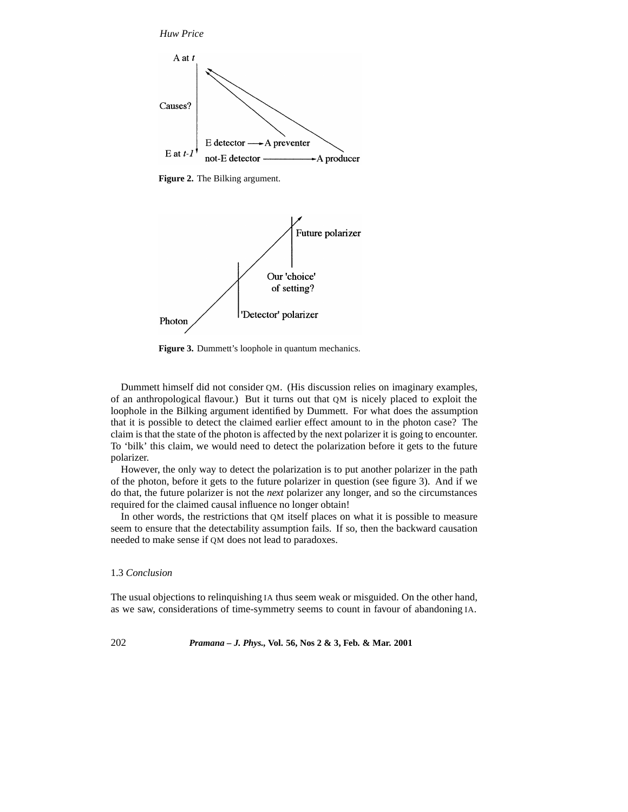

**Figure 2.** The Bilking argument.



**Figure 3.** Dummett's loophole in quantum mechanics.

Dummett himself did not consider QM. (His discussion relies on imaginary examples, of an anthropological flavour.) But it turns out that QM is nicely placed to exploit the loophole in the Bilking argument identified by Dummett. For what does the assumption that it is possible to detect the claimed earlier effect amount to in the photon case? The claim is that the state of the photon is affected by the next polarizer it is going to encounter. To 'bilk' this claim, we would need to detect the polarization before it gets to the future polarizer.

However, the only way to detect the polarization is to put another polarizer in the path of the photon, before it gets to the future polarizer in question (see figure 3). And if we do that, the future polarizer is not the *next* polarizer any longer, and so the circumstances required for the claimed causal influence no longer obtain!

In other words, the restrictions that QM itself places on what it is possible to measure seem to ensure that the detectability assumption fails. If so, then the backward causation needed to make sense if QM does not lead to paradoxes.

## 1.3 *Conclusion*

The usual objections to relinquishing IA thus seem weak or misguided. On the other hand, as we saw, considerations of time-symmetry seems to count in favour of abandoning IA.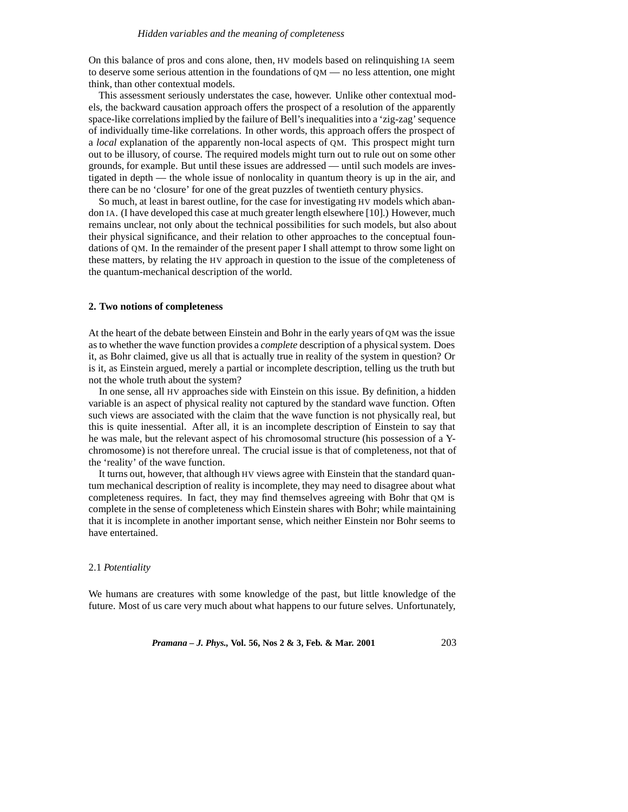On this balance of pros and cons alone, then, HV models based on relinquishing IA seem to deserve some serious attention in the foundations of  $QM$  — no less attention, one might think, than other contextual models.

This assessment seriously understates the case, however. Unlike other contextual models, the backward causation approach offers the prospect of a resolution of the apparently space-like correlations implied by the failure of Bell's inequalities into a 'zig-zag' sequence of individually time-like correlations. In other words, this approach offers the prospect of a *local* explanation of the apparently non-local aspects of QM. This prospect might turn out to be illusory, of course. The required models might turn out to rule out on some other grounds, for example. But until these issues are addressed — until such models are investigated in depth — the whole issue of nonlocality in quantum theory is up in the air, and there can be no 'closure' for one of the great puzzles of twentieth century physics.

So much, at least in barest outline, for the case for investigating HV models which abandon IA. (I have developed this case at much greater length elsewhere [10].) However, much remains unclear, not only about the technical possibilities for such models, but also about their physical significance, and their relation to other approaches to the conceptual foundations of QM. In the remainder of the present paper I shall attempt to throw some light on these matters, by relating the HV approach in question to the issue of the completeness of the quantum-mechanical description of the world.

## **2. Two notions of completeness**

At the heart of the debate between Einstein and Bohr in the early years of QM was the issue as to whether the wave function provides a *complete* description of a physical system. Does it, as Bohr claimed, give us all that is actually true in reality of the system in question? Or is it, as Einstein argued, merely a partial or incomplete description, telling us the truth but not the whole truth about the system?

In one sense, all HV approaches side with Einstein on this issue. By definition, a hidden variable is an aspect of physical reality not captured by the standard wave function. Often such views are associated with the claim that the wave function is not physically real, but this is quite inessential. After all, it is an incomplete description of Einstein to say that he was male, but the relevant aspect of his chromosomal structure (his possession of a Ychromosome) is not therefore unreal. The crucial issue is that of completeness, not that of the 'reality' of the wave function.

It turns out, however, that although HV views agree with Einstein that the standard quantum mechanical description of reality is incomplete, they may need to disagree about what completeness requires. In fact, they may find themselves agreeing with Bohr that QM is complete in the sense of completeness which Einstein shares with Bohr; while maintaining that it is incomplete in another important sense, which neither Einstein nor Bohr seems to have entertained.

## 2.1 *Potentiality*

We humans are creatures with some knowledge of the past, but little knowledge of the future. Most of us care very much about what happens to our future selves. Unfortunately,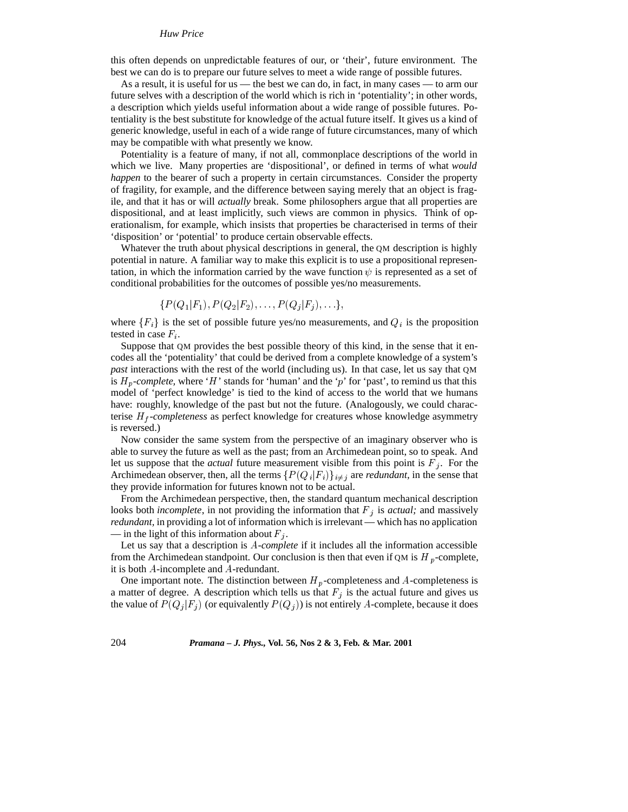## *Huw Price*

this often depends on unpredictable features of our, or 'their', future environment. The best we can do is to prepare our future selves to meet a wide range of possible futures.

As a result, it is useful for us — the best we can do, in fact, in many cases — to arm our future selves with a description of the world which is rich in 'potentiality'; in other words, a description which yields useful information about a wide range of possible futures. Potentiality is the best substitute for knowledge of the actual future itself. It gives us a kind of generic knowledge, useful in each of a wide range of future circumstances, many of which may be compatible with what presently we know.

Potentiality is a feature of many, if not all, commonplace descriptions of the world in which we live. Many properties are 'dispositional', or defined in terms of what *would happen* to the bearer of such a property in certain circumstances. Consider the property of fragility, for example, and the difference between saying merely that an object is fragile, and that it has or will *actually* break. Some philosophers argue that all properties are dispositional, and at least implicitly, such views are common in physics. Think of operationalism, for example, which insists that properties be characterised in terms of their 'disposition' or 'potential' to produce certain observable effects.

Whatever the truth about physical descriptions in general, the QM description is highly potential in nature. A familiar way to make this explicit is to use a propositional representation, in which the information carried by the wave function  $\psi$  is represented as a set of conditional probabilities for the outcomes of possible yes/no measurements.

$$
\{P(Q_1|F_1), P(Q_2|F_2), \ldots, P(Q_j|F_j), \ldots\},\
$$

where  $\{F_i\}$  is the set of possible future yes/no measurements, and  $Q_i$  is the proposition tested in case  $F_i$ .

Suppose that QM provides the best possible theory of this kind, in the sense that it encodes all the 'potentiality' that could be derived from a complete knowledge of a system's *past* interactions with the rest of the world (including us). In that case, let us say that QM is  $H_p$ -complete, where 'H' stands for 'human' and the 'p' for 'past', to remind us that this model of 'perfect knowledge' is tied to the kind of access to the world that we humans have: roughly, knowledge of the past but not the future. (Analogously, we could characterise  $H_f$ -completeness as perfect knowledge for creatures whose knowledge asymmetry is reversed.)

Now consider the same system from the perspective of an imaginary observer who is able to survey the future as well as the past; from an Archimedean point, so to speak. And let us suppose that the *actual* future measurement visible from this point is  $F_i$ . For the Archimedean observer, then, all the terms  $\{P(Q_i|F_i)\}_{i\neq j}$  are *redundant*, in the sense that they provide information for futures known not to be actual.

From the Archimedean perspective, then, the standard quantum mechanical description looks both *incomplete*, in not providing the information that  $F_i$  is *actual*; and massively *redundant,* in providing a lot of information which is irrelevant — which has no application — in the light of this information about  $F_i$ .

Let us say that a description is A*-complete* if it includes all the information accessible from the Archimedean standpoint. Our conclusion is then that even if QM is  $H_p$ -complete, it is both A-incomplete and A-redundant.

One important note. The distinction between  $H_p$ -completeness and A-completeness is a matter of degree. A description which tells us that  $F_j$  is the actual future and gives us the value of  $P(Q_j|F_j)$  (or equivalently  $P(Q_j)$ ) is not entirely A-complete, because it does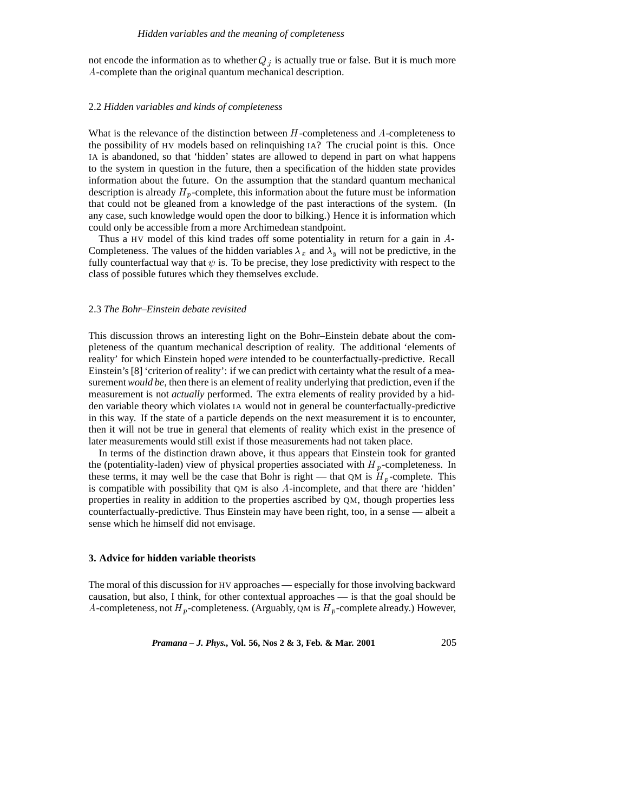not encode the information as to whether  $Q_j$  is actually true or false. But it is much more A-complete than the original quantum mechanical description.

#### 2.2 *Hidden variables and kinds of completeness*

What is the relevance of the distinction between  $H$ -completeness and  $A$ -completeness to the possibility of HV models based on relinquishing IA? The crucial point is this. Once IA is abandoned, so that 'hidden' states are allowed to depend in part on what happens to the system in question in the future, then a specification of the hidden state provides information about the future. On the assumption that the standard quantum mechanical description is already  $H_p$ -complete, this information about the future must be information that could not be gleaned from a knowledge of the past interactions of the system. (In any case, such knowledge would open the door to bilking.) Hence it is information which could only be accessible from a more Archimedean standpoint.

Thus a HV model of this kind trades off some potentiality in return for a gain in A-Completeness. The values of the hidden variables  $\lambda_x$  and  $\lambda_y$  will not be predictive, in the fully counterfactual way that  $\psi$  is. To be precise, they lose predictivity with respect to the class of possible futures which they themselves exclude.

## 2.3 *The Bohr–Einstein debate revisited*

This discussion throws an interesting light on the Bohr–Einstein debate about the completeness of the quantum mechanical description of reality. The additional 'elements of reality' for which Einstein hoped *were* intended to be counterfactually-predictive. Recall Einstein's [8] 'criterion of reality': if we can predict with certainty what the result of a measurement *would be*, then there is an element of reality underlying that prediction, even if the measurement is not *actually* performed. The extra elements of reality provided by a hidden variable theory which violates IA would not in general be counterfactually-predictive in this way. If the state of a particle depends on the next measurement it is to encounter, then it will not be true in general that elements of reality which exist in the presence of later measurements would still exist if those measurements had not taken place.

In terms of the distinction drawn above, it thus appears that Einstein took for granted the (potentiality-laden) view of physical properties associated with  $H_p$ -completeness. In these terms, it may well be the case that Bohr is right — that QM is  $H_p$ -complete. This is compatible with possibility that  $QM$  is also  $A$ -incomplete, and that there are 'hidden' properties in reality in addition to the properties ascribed by QM, though properties less counterfactually-predictive. Thus Einstein may have been right, too, in a sense — albeit a sense which he himself did not envisage.

## **3. Advice for hidden variable theorists**

The moral of this discussion for HV approaches — especially for those involving backward causation, but also, I think, for other contextual approaches — is that the goal should be A-completeness, not  $H_p$ -completeness. (Arguably, QM is  $H_p$ -complete already.) However,

*Pramana – J. Phys.,* **Vol. 56, Nos 2 & 3, Feb. & Mar. 2001** 205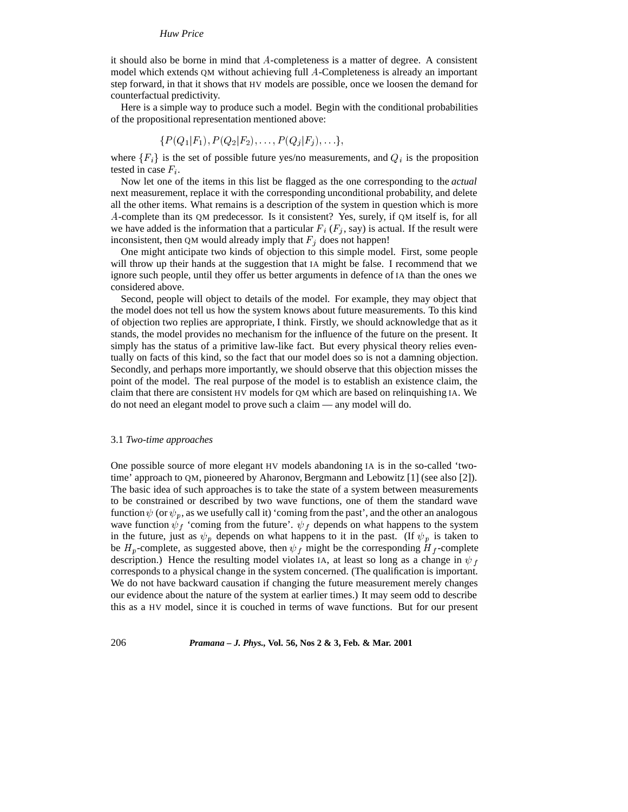## *Huw Price*

it should also be borne in mind that <sup>A</sup>-completeness is a matter of degree. A consistent model which extends QM without achieving full A-Completeness is already an important step forward, in that it shows that HV models are possible, once we loosen the demand for counterfactual predictivity.

Here is a simple way to produce such a model. Begin with the conditional probabilities of the propositional representation mentioned above:

$$
\{P(Q_1|F_1), P(Q_2|F_2), \ldots, P(Q_j|F_j), \ldots\},\
$$

where  $\{F_i\}$  is the set of possible future yes/no measurements, and  $Q_i$  is the proposition tested in case  $F_i$ .

Now let one of the items in this list be flagged as the one corresponding to the *actual* next measurement, replace it with the corresponding unconditional probability, and delete all the other items. What remains is a description of the system in question which is more A-complete than its QM predecessor. Is it consistent? Yes, surely, if QM itself is, for all we have added is the information that a particular  $F_i$  ( $F_j$ , say) is actual. If the result were inconsistent, then QM would already imply that  $F_i$  does not happen!

One might anticipate two kinds of objection to this simple model. First, some people will throw up their hands at the suggestion that IA might be false. I recommend that we ignore such people, until they offer us better arguments in defence of IA than the ones we considered above.

Second, people will object to details of the model. For example, they may object that the model does not tell us how the system knows about future measurements. To this kind of objection two replies are appropriate, I think. Firstly, we should acknowledge that as it stands, the model provides no mechanism for the influence of the future on the present. It simply has the status of a primitive law-like fact. But every physical theory relies eventually on facts of this kind, so the fact that our model does so is not a damning objection. Secondly, and perhaps more importantly, we should observe that this objection misses the point of the model. The real purpose of the model is to establish an existence claim, the claim that there are consistent HV models for QM which are based on relinquishing IA. We do not need an elegant model to prove such a claim — any model will do.

#### 3.1 *Two-time approaches*

One possible source of more elegant HV models abandoning IA is in the so-called 'twotime' approach to QM, pioneered by Aharonov, Bergmann and Lebowitz [1] (see also [2]). The basic idea of such approaches is to take the state of a system between measurements to be constrained or described by two wave functions, one of them the standard wave function  $\psi$  (or  $\psi_p$ , as we usefully call it) 'coming from the past', and the other an analogous wave function  $\psi_f$  'coming from the future'.  $\psi_f$  depends on what happens to the system in the future, just as  $\psi_p$  depends on what happens to it in the past. (If  $\psi_p$  is taken to be  $H_p$ -complete, as suggested above, then  $\psi_f$  might be the corresponding  $H_f$ -complete description.) Hence the resulting model violates IA, at least so long as a change in  $\psi_f$ corresponds to a physical change in the system concerned. (The qualification is important. We do not have backward causation if changing the future measurement merely changes our evidence about the nature of the system at earlier times.) It may seem odd to describe this as a HV model, since it is couched in terms of wave functions. But for our present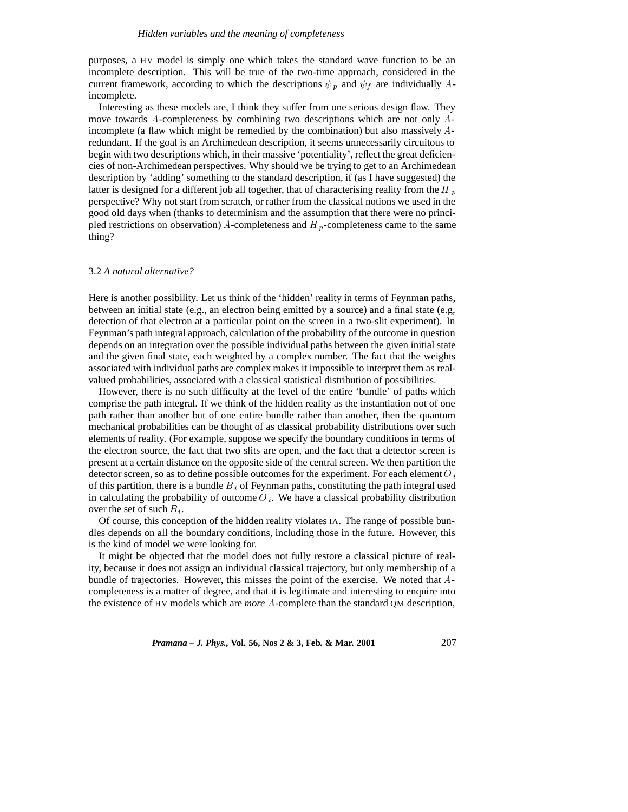purposes, a HV model is simply one which takes the standard wave function to be an incomplete description. This will be true of the two-time approach, considered in the current framework, according to which the descriptions  $\psi_p$  and  $\psi_f$  are individually Aincomplete.

Interesting as these models are, I think they suffer from one serious design flaw. They move towards A-completeness by combining two descriptions which are not only Aincomplete (a flaw which might be remedied by the combination) but also massively Aredundant. If the goal is an Archimedean description, it seems unnecessarily circuitous to begin with two descriptions which, in their massive 'potentiality', reflect the great deficiencies of non-Archimedean perspectives. Why should we be trying to get to an Archimedean description by 'adding' something to the standard description, if (as I have suggested) the latter is designed for a different job all together, that of characterising reality from the  $H_p$ perspective? Why not start from scratch, or rather from the classical notions we used in the good old days when (thanks to determinism and the assumption that there were no principled restrictions on observation) A-completeness and  $H_p$ -completeness came to the same thing?

## 3.2 *A natural alternative?*

Here is another possibility. Let us think of the 'hidden' reality in terms of Feynman paths, between an initial state (e.g., an electron being emitted by a source) and a final state (e.g, detection of that electron at a particular point on the screen in a two-slit experiment). In Feynman's path integral approach, calculation of the probability of the outcome in question depends on an integration over the possible individual paths between the given initial state and the given final state, each weighted by a complex number. The fact that the weights associated with individual paths are complex makes it impossible to interpret them as realvalued probabilities, associated with a classical statistical distribution of possibilities.

However, there is no such difficulty at the level of the entire 'bundle' of paths which comprise the path integral. If we think of the hidden reality as the instantiation not of one path rather than another but of one entire bundle rather than another, then the quantum mechanical probabilities can be thought of as classical probability distributions over such elements of reality. (For example, suppose we specify the boundary conditions in terms of the electron source, the fact that two slits are open, and the fact that a detector screen is present at a certain distance on the opposite side of the central screen. We then partition the detector screen, so as to define possible outcomes for the experiment. For each element  $O_i$ of this partition, there is a bundle  $B_i$  of Feynman paths, constituting the path integral used in calculating the probability of outcome  $O_i$ . We have a classical probability distribution over the set of such  $B_i$ .

Of course, this conception of the hidden reality violates IA. The range of possible bundles depends on all the boundary conditions, including those in the future. However, this is the kind of model we were looking for.

It might be objected that the model does not fully restore a classical picture of reality, because it does not assign an individual classical trajectory, but only membership of a bundle of trajectories. However, this misses the point of the exercise. We noted that Acompleteness is a matter of degree, and that it is legitimate and interesting to enquire into the existence of HV models which are *more* A-complete than the standard QM description,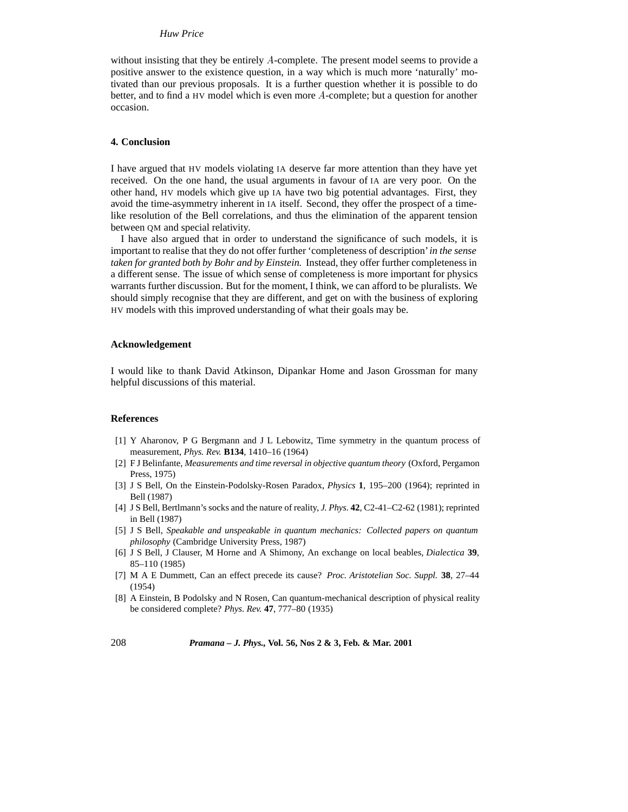## *Huw Price*

without insisting that they be entirely <sup>A</sup>-complete. The present model seems to provide a positive answer to the existence question, in a way which is much more 'naturally' motivated than our previous proposals. It is a further question whether it is possible to do better, and to find a HV model which is even more A-complete; but a question for another occasion.

## **4. Conclusion**

I have argued that HV models violating IA deserve far more attention than they have yet received. On the one hand, the usual arguments in favour of IA are very poor. On the other hand, HV models which give up IA have two big potential advantages. First, they avoid the time-asymmetry inherent in IA itself. Second, they offer the prospect of a timelike resolution of the Bell correlations, and thus the elimination of the apparent tension between QM and special relativity.

I have also argued that in order to understand the significance of such models, it is important to realise that they do not offer further 'completeness of description'*in the sense taken for granted both by Bohr and by Einstein.* Instead, they offer further completeness in a different sense. The issue of which sense of completeness is more important for physics warrants further discussion. But for the moment, I think, we can afford to be pluralists. We should simply recognise that they are different, and get on with the business of exploring HV models with this improved understanding of what their goals may be.

## **Acknowledgement**

I would like to thank David Atkinson, Dipankar Home and Jason Grossman for many helpful discussions of this material.

#### **References**

- [1] Y Aharonov, P G Bergmann and J L Lebowitz, Time symmetry in the quantum process of measurement, *Phys. Rev.* **B134**, 1410–16 (1964)
- [2] F J Belinfante, *Measurements and time reversal in objective quantum theory* (Oxford, Pergamon Press, 1975)
- [3] J S Bell, On the Einstein-Podolsky-Rosen Paradox, *Physics* **1**, 195–200 (1964); reprinted in Bell (1987)
- [4] J S Bell, Bertlmann's socks and the nature of reality, *J. Phys.* **42**, C2-41–C2-62 (1981); reprinted in Bell (1987)
- [5] J S Bell, *Speakable and unspeakable in quantum mechanics: Collected papers on quantum philosophy* (Cambridge University Press, 1987)
- [6] J S Bell, J Clauser, M Horne and A Shimony, An exchange on local beables, *Dialectica* **39**, 85–110 (1985)
- [7] M A E Dummett, Can an effect precede its cause? *Proc. Aristotelian Soc. Suppl.* **38**, 27–44 (1954)
- [8] A Einstein, B Podolsky and N Rosen, Can quantum-mechanical description of physical reality be considered complete? *Phys. Rev.* **47**, 777–80 (1935)